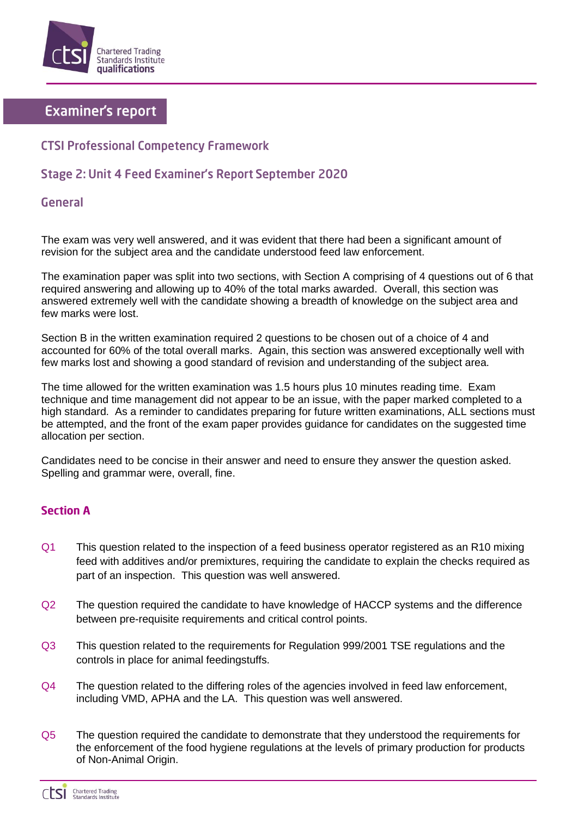

# **Examiner's report**

## **CTSI Professional Competency Framework**

## Stage 2: Unit 4 Feed Examiner's Report September 2020

### General

The exam was very well answered, and it was evident that there had been a significant amount of revision for the subject area and the candidate understood feed law enforcement.

The examination paper was split into two sections, with Section A comprising of 4 questions out of 6 that required answering and allowing up to 40% of the total marks awarded. Overall, this section was answered extremely well with the candidate showing a breadth of knowledge on the subject area and few marks were lost.

Section B in the written examination required 2 questions to be chosen out of a choice of 4 and accounted for 60% of the total overall marks. Again, this section was answered exceptionally well with few marks lost and showing a good standard of revision and understanding of the subject area.

The time allowed for the written examination was 1.5 hours plus 10 minutes reading time. Exam technique and time management did not appear to be an issue, with the paper marked completed to a high standard. As a reminder to candidates preparing for future written examinations, ALL sections must be attempted, and the front of the exam paper provides guidance for candidates on the suggested time allocation per section.

Candidates need to be concise in their answer and need to ensure they answer the question asked. Spelling and grammar were, overall, fine.

#### **Section A**

- Q1 This question related to the inspection of a feed business operator registered as an R10 mixing feed with additives and/or premixtures, requiring the candidate to explain the checks required as part of an inspection. This question was well answered.
- Q2 The question required the candidate to have knowledge of HACCP systems and the difference between pre-requisite requirements and critical control points.
- Q3 This question related to the requirements for Regulation 999/2001 TSE regulations and the controls in place for animal feedingstuffs.
- Q4 The question related to the differing roles of the agencies involved in feed law enforcement, including VMD, APHA and the LA. This question was well answered.
- Q5 The question required the candidate to demonstrate that they understood the requirements for the enforcement of the food hygiene regulations at the levels of primary production for products of Non-Animal Origin.